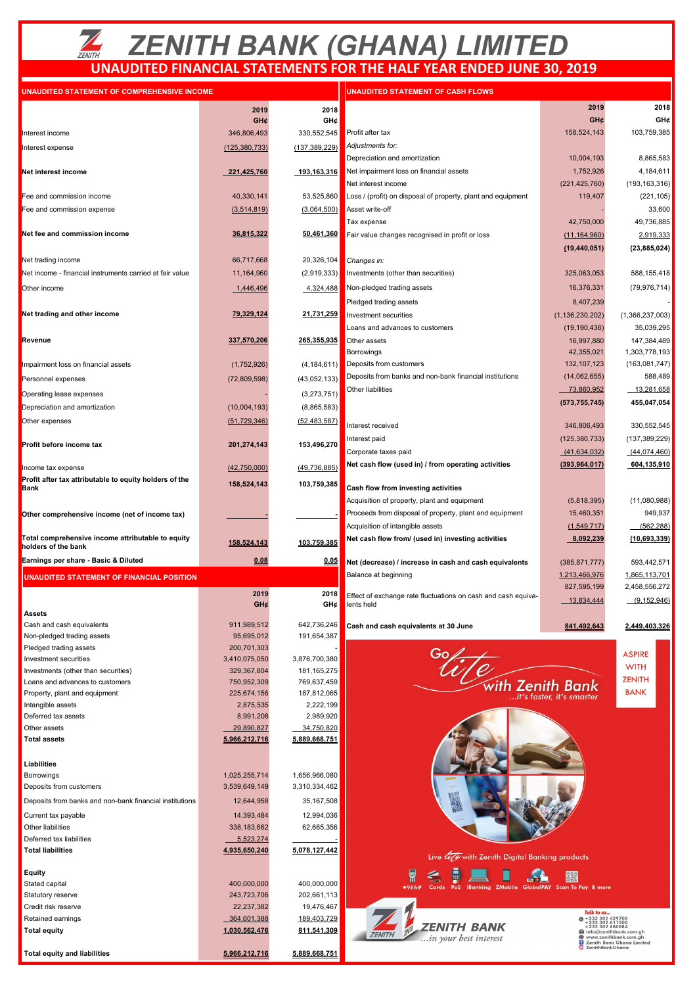# *ZENITH BANK (GHANA) LIMITED* **UNAUDITED FINANCIAL STATEMENTS FOR THE HALF YEAR ENDED JUNE 30, 2019**

| UNAUDITED STATEMENT OF COMPREHENSIVE INCOME |  |
|---------------------------------------------|--|

| UNAUDITED STATEMENT OF COMPREHENSIVE INCOME                              |                 |                 | UNAUDITED STATEMENT OF CASH FLOWS                             |                                                               |                                                 |
|--------------------------------------------------------------------------|-----------------|-----------------|---------------------------------------------------------------|---------------------------------------------------------------|-------------------------------------------------|
|                                                                          | 2019            | 2018            |                                                               | 2019                                                          | 2018                                            |
|                                                                          | GH¢             | GH¢             |                                                               | GH¢                                                           | GH¢                                             |
|                                                                          |                 | 330,552,545     |                                                               | 158,524,143                                                   |                                                 |
| Interest income                                                          | 346,806,493     |                 | Profit after tax                                              |                                                               | 103,759,385                                     |
| Interest expense                                                         | (125, 380, 733) | (137, 389, 229) | Adjustments for:                                              |                                                               |                                                 |
|                                                                          |                 |                 | Depreciation and amortization                                 | 10,004,193                                                    | 8,865,583                                       |
| Net interest income                                                      | 221,425,760     | 193,163,316     | Net impairment loss on financial assets                       | 1,752,926                                                     | 4,184,611                                       |
|                                                                          |                 |                 | Net interest income                                           | (221, 425, 760)                                               | (193, 163, 316)                                 |
| Fee and commission income                                                | 40,330,141      | 53,525,860      | Loss / (profit) on disposal of property, plant and equipment  | 119,407                                                       | (221, 105)                                      |
| Fee and commission expense                                               | (3,514,819)     | (3,064,500)     | Asset write-off                                               |                                                               | 33,600                                          |
|                                                                          |                 |                 | Tax expense                                                   | 42,750,000                                                    | 49,736,885                                      |
| Net fee and commission income                                            | 36,815,322      | 50,461,360      |                                                               |                                                               |                                                 |
|                                                                          |                 |                 | Fair value changes recognised in profit or loss               | (11, 164, 960)                                                | 2,919,333                                       |
|                                                                          |                 |                 |                                                               | (19, 440, 051)                                                | (23, 885, 024)                                  |
| Net trading income                                                       | 66,717,668      | 20,326,104      | Changes in:                                                   |                                                               |                                                 |
| Net income - financial instruments carried at fair value                 | 11,164,960      | (2,919,333)     | Investments (other than securities)                           | 325,063,053                                                   | 588,155,418                                     |
| Other income                                                             | 1,446,496       | 4,324,488       | Non-pledged trading assets                                    | 16,376,331                                                    | (79, 976, 714)                                  |
|                                                                          |                 |                 |                                                               |                                                               |                                                 |
|                                                                          |                 |                 | Pledged trading assets                                        | 8,407,239                                                     |                                                 |
| Net trading and other income                                             | 79,329,124      | 21,731,259      | Investment securities                                         | (1, 136, 230, 202)                                            | (1,366,237,003)                                 |
|                                                                          |                 |                 | Loans and advances to customers                               | (19, 190, 436)                                                | 35,039,295                                      |
| Revenue                                                                  | 337,570,206     | 265,355,935     | Other assets                                                  | 16,997,880                                                    | 147,384,489                                     |
|                                                                          |                 |                 | <b>Borrowings</b>                                             | 42,355,021                                                    | 1,303,778,193                                   |
| Impairment loss on financial assets                                      | (1,752,926)     | (4, 184, 611)   | Deposits from customers                                       | 132, 107, 123                                                 | (163,081,747)                                   |
|                                                                          |                 |                 | Deposits from banks and non-bank financial institutions       | (14,062,655)                                                  | 588,489                                         |
| Personnel expenses                                                       | (72,809,598)    | (43,052,133)    | Other liabilities                                             | 73,860,952                                                    | 13,281,658                                      |
| Operating lease expenses                                                 |                 | (3,273,751)     |                                                               |                                                               |                                                 |
| Depreciation and amortization                                            | (10,004,193)    | (8,865,583)     |                                                               | (573, 755, 745)                                               | 455,047,054                                     |
| Other expenses                                                           | (51, 729, 346)  | (52, 483, 587)  |                                                               |                                                               |                                                 |
|                                                                          |                 |                 | Interest received                                             | 346,806,493                                                   | 330,552,545                                     |
| Profit before income tax                                                 |                 | 153,496,270     | Interest paid                                                 | (125, 380, 733)                                               | (137, 389, 229)                                 |
|                                                                          | 201,274,143     |                 | Corporate taxes paid                                          | (41,634,032)                                                  | (44,074,460)                                    |
|                                                                          |                 |                 | Net cash flow (used in) / from operating activities           | (393, 964, 017)                                               | 604,135,910                                     |
| Income tax expense                                                       | (42,750,000)    | (49, 736, 885)  |                                                               |                                                               |                                                 |
| Profit after tax attributable to equity holders of the<br><b>Bank</b>    | 158,524,143     | 103,759,385     | Cash flow from investing activities                           |                                                               |                                                 |
|                                                                          |                 |                 | Acquisition of property, plant and equipment                  | (5,818,395)                                                   | (11,080,988)                                    |
|                                                                          |                 |                 |                                                               |                                                               |                                                 |
| Other comprehensive income (net of income tax)                           |                 |                 | Proceeds from disposal of property, plant and equipment       | 15,460,351                                                    | 949,937                                         |
|                                                                          |                 |                 | Acquisition of intangible assets                              | (1,549,717)                                                   | (562, 288)                                      |
| Total comprehensive income attributable to equity<br>holders of the bank | 158,524,143     | 103,759,385     | Net cash flow from/ (used in) investing activities            | 8,092,239                                                     | (10,693,339)                                    |
|                                                                          |                 |                 |                                                               |                                                               |                                                 |
| Earnings per share - Basic & Diluted                                     | 0.08            | <u>0.05</u>     | Net (decrease) / increase in cash and cash equivalents        | (385, 871, 777)                                               | 593,442,571                                     |
| UNAUDITED STATEMENT OF FINANCIAL POSITION                                |                 |                 | Balance at beginning                                          | 1,213,466,976                                                 | 1,865,113,701                                   |
|                                                                          |                 |                 |                                                               | 827,595,199                                                   | 2,458,556,272                                   |
|                                                                          | 2019            | 2018            | Effect of exchange rate fluctuations on cash and cash equiva- | 13,834,444                                                    | (9, 152, 946)                                   |
| Assets                                                                   | GH¢             | GH¢             | lents held                                                    |                                                               |                                                 |
| Cash and cash equivalents                                                | 911,989,512     | 642,736,246     |                                                               |                                                               |                                                 |
| Non-pledged trading assets                                               | 95,695,012      | 191,654,387     | Cash and cash equivalents at 30 June                          | 841,492,643                                                   | 2,449,403,326                                   |
| Pledged trading assets                                                   | 200,701,303     |                 |                                                               |                                                               |                                                 |
| Investment securities                                                    | 3,410,075,050   | 3,876,700,380   |                                                               |                                                               | <b>ASPIRE</b>                                   |
| Investments (other than securities)                                      | 329,367,804     | 181, 165, 275   |                                                               |                                                               | <b>WITH</b>                                     |
| Loans and advances to customers                                          | 750,952,309     | 769,637,459     |                                                               |                                                               | <b>ZENITH</b>                                   |
| Property, plant and equipment                                            | 225,674,156     | 187,812,065     |                                                               | with Zenith Bank                                              | <b>BANK</b>                                     |
|                                                                          | 2,875,535       | 2,222,199       |                                                               | it's faster, it's smarter                                     |                                                 |
| Intangible assets<br>Deferred tax assets                                 | 8,991,208       | 2,989,920       |                                                               |                                                               |                                                 |
|                                                                          |                 |                 |                                                               |                                                               |                                                 |
| Other assets                                                             | 29,890,827      | 34,750,820      |                                                               |                                                               |                                                 |
| <b>Total assets</b>                                                      | 5,966,212,716   | 5,889,668,751   |                                                               |                                                               |                                                 |
|                                                                          |                 |                 |                                                               |                                                               |                                                 |
| Liabilities                                                              |                 |                 |                                                               |                                                               |                                                 |
| Borrowings                                                               | 1,025,255,714   | 1,656,966,080   |                                                               |                                                               |                                                 |
| Deposits from customers                                                  | 3,539,649,149   | 3,310,334,462   |                                                               |                                                               |                                                 |
| Deposits from banks and non-bank financial institutions                  | 12,644,958      | 35, 167, 508    |                                                               |                                                               |                                                 |
| Current tax payable                                                      | 14,393,484      | 12,994,036      |                                                               |                                                               |                                                 |
| Other liabilities                                                        | 338, 183, 662   | 62,665,356      |                                                               |                                                               |                                                 |
|                                                                          |                 |                 |                                                               |                                                               |                                                 |
| Deferred tax liabilities<br><b>Total liabilities</b>                     | 5,523,274       |                 |                                                               |                                                               |                                                 |
|                                                                          | 4,935,650,240   | 5,078,127,442   | Live <i>Life</i> with Zenith Digital Banking products         |                                                               |                                                 |
|                                                                          |                 |                 |                                                               |                                                               |                                                 |
| Equity                                                                   |                 | 400,000,000     | $\bullet$                                                     | $\frac{1}{2}$                                                 |                                                 |
| Stated capital                                                           |                 |                 | PoS<br>iBanking<br>*966#<br>Cards                             | ZMobile GlobalPAY Scan To Pay & more                          |                                                 |
|                                                                          | 400,000,000     |                 |                                                               |                                                               |                                                 |
| Statutory reserve                                                        | 243,723,706     | 202,661,113     |                                                               |                                                               |                                                 |
| Credit risk reserve                                                      | 22,237,382      | 19,476,467      |                                                               | Talk to us                                                    |                                                 |
| Retained earnings                                                        | 364,601,388     | 189,403,729     |                                                               | $\odot$ +233 302 429700<br>+233 302 611500<br>+233 302 680884 |                                                 |
| <b>Total equity</b>                                                      | 1,030,562,476   | 811,541,309     | ZENITH BANK<br><b>ZENITH</b>                                  |                                                               | info@zenithbank.com.gh<br>www.zenithbank.com.gh |
| <b>Total equity and liabilities</b>                                      | 5,966,212,716   | 5,889,668,751   | in your best interest                                         | ZenithBankGhana                                               | Zenith Bank Ghana Limited                       |